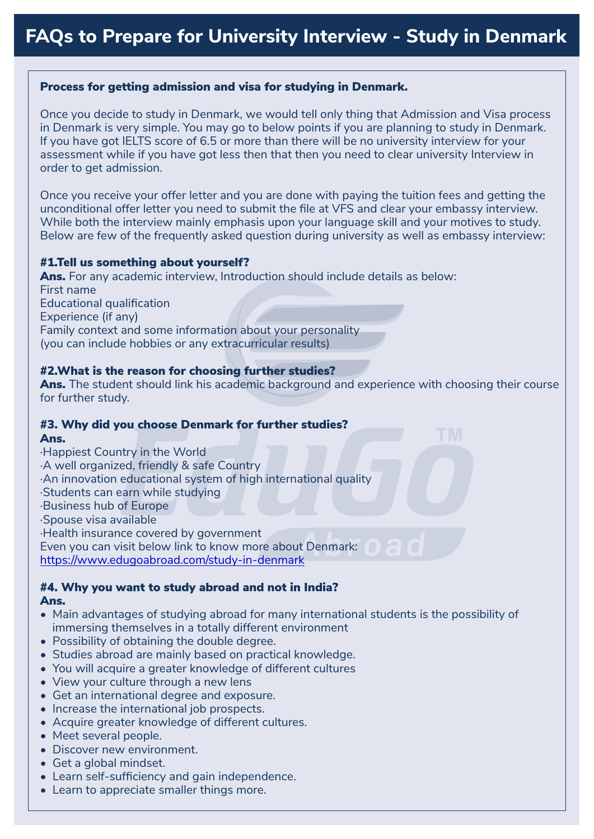## Process for getting admission and visa for studying in Denmark.

Once you decide to study in Denmark, we would tell only thing that Admission and Visa process in Denmark is very simple. You may go to below points if you are planning to study in Denmark. If you have got IELTS score of 6.5 or more than there will be no university interview for your assessment while if you have got less then that then you need to clear university Interview in order to get admission.

Once you receive your offer letter and you are done with paying the tuition fees and getting the unconditional offer letter you need to submit the file at VFS and clear your embassy interview. While both the interview mainly emphasis upon your language skill and your motives to study. Below are few of the frequently asked question during university as well as embassy interview:

#### #1.Tell us something about yourself?

Ans. For any academic interview, Introduction should include details as below: First name Educational qualification Experience (if any) Family context and some information about your personality (you can include hobbies or any extracurricular results)

### #2.What is the reason for choosing further studies?

Ans. The student should link his academic background and experience with choosing their course for further study.

#### #3. Why did you choose Denmark for further studies? Ans.

· Happiest Country in the World · A well organized, friendly & safe Country · An innovation educational system of high international quality · Students can earn while studying · Business hub of Europe · Spouse visa available · Health insurance covered by government Even you can visit below link to know more about Denmark: 0 [https://www.edugoabroad.com/study-in-denmark](https://www.edugoabroad.com/study-in-denmark/)

#### #4. Why you want to study abroad and not in India? Ans.

- Main advantages of studying abroad for many international students is the possibility of immersing themselves in a totally different environment
- Possibility of obtaining the double degree.
- Studies abroad are mainly based on practical knowledge.
- You will acquire a greater knowledge of different cultures
- View your culture through a new lens
- Get an international degree and exposure.
- Increase the international job prospects.
- Acquire greater knowledge of different cultures.
- Meet several people.
- Discover new environment.
- Get a global mindset.
- Learn self-sufficiency and gain independence.
- Learn to appreciate smaller things more.